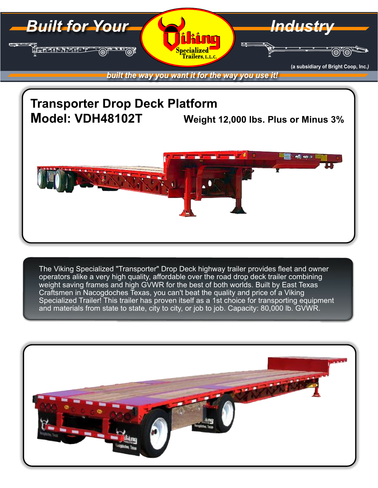

## **Transporter Drop Deck Platform Model: VDH48102T Weight 12,000 lbs. Plus or Minus 3%**



The Viking Specialized "Transporter" Drop Deck highway trailer provides fleet and owner operators alike a very high quality, affordable over the road drop deck trailer combining weight saving frames and high GVWR for the best of both worlds. Built by East Texas Craftsmen in Nacogdoches Texas, you can't beat the quality and price of a Viking Specialized Trailer! This trailer has proven itself as a 1st choice for transporting equipment and materials from state to state, city to city, or job to job. Capacity: 80,000 lb. GVWR.